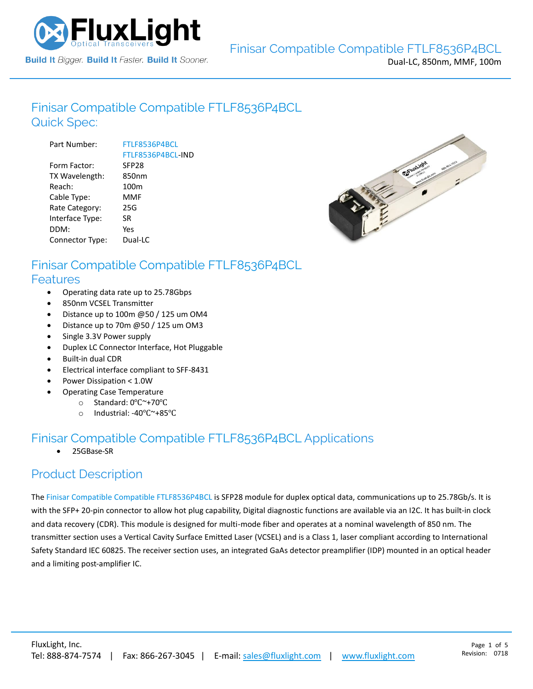

# Finisar Compatible [Compatible FTLF8536P4BCL](https://www.fluxlight.com/FTLF8536P4BCL/) Quick Spec:

| Part Number:    | FTLF8536P4BCL     |
|-----------------|-------------------|
|                 | FTLF8536P4BCL-IND |
| Form Factor:    | SFP <sub>28</sub> |
| TX Wavelength:  | 850nm             |
| Reach:          | 100 <sub>m</sub>  |
| Cable Type:     | MMF               |
| Rate Category:  | 25G               |
| Interface Type: | SR.               |
| DDM:            | Yes               |
| Connector Type: | Dual-LC           |



#### Finisar Compatible [Compatible FTLF8536P4BCL](https://www.fluxlight.com/FTLF8536P4BCL/) Features

- Operating data rate up to 25.78Gbps
- 850nm VCSEL Transmitter
- Distance up to 100m @50 / 125 um OM4
- Distance up to 70m @50 / 125 um OM3
- Single 3.3V Power supply
- Duplex LC Connector Interface, Hot Pluggable
- Built-in dual CDR
- Electrical interface compliant to SFF-8431
- Power Dissipation < 1.0W
- Operating Case Temperature
	- o Standard: 0℃~+70℃
	- o Industrial: -40℃~+85℃

# Finisar Compatible [Compatible FTLF8536P4BCL](https://www.fluxlight.com/FTLF8536P4BCL/) Applications

• 25GBase-SR

#### Product Description

The Finisar Compatible [Compatible](https://www.fluxlight.com/) [FTLF8536P4BCL](https://www.fluxlight.com/FTLF8536P4BCL/) is SFP28 module for duplex optical data, communications up to 25.78Gb/s. It is with the SFP+ 20-pin connector to allow hot plug capability, Digital diagnostic functions are available via an I2C. It has built-in clock and data recovery (CDR). This module is designed for multi-mode fiber and operates at a nominal wavelength of 850 nm. The transmitter section uses a Vertical Cavity Surface Emitted Laser (VCSEL) and is a Class 1, laser compliant according to International Safety Standard IEC 60825. The receiver section uses, an integrated GaAs detector preamplifier (IDP) mounted in an optical header and a limiting post-amplifier IC.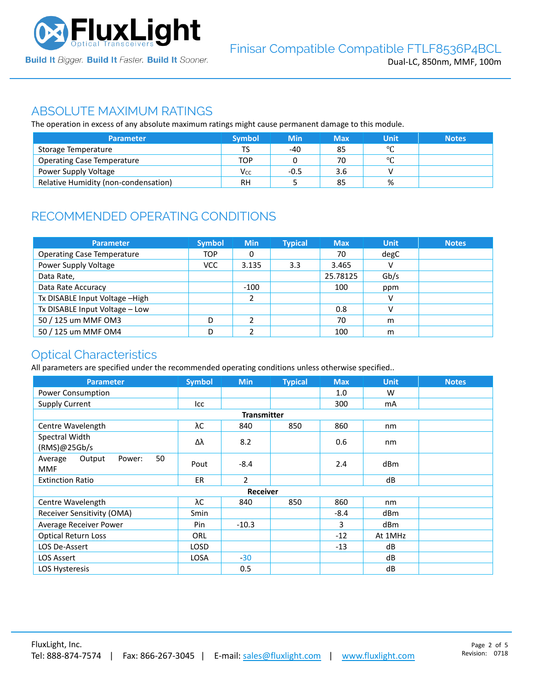

#### ABSOLUTE MAXIMUM RATINGS

The operation in excess of any absolute maximum ratings might cause permanent damage to this module.

| <b>Parameter</b>                     | <b>Symbol</b> | <b>Min</b> | Max | Unit    | <b>Notes</b> |
|--------------------------------------|---------------|------------|-----|---------|--------------|
| Storage Temperature                  | TS            | -40        | 85  | $\circ$ |              |
| <b>Operating Case Temperature</b>    | TOP           |            | 70  | $\circ$ |              |
| Power Supply Voltage                 | Vcc           | $-0.5$     | 3.6 |         |              |
| Relative Humidity (non-condensation) | RH            |            | 85  | %       |              |

# RECOMMENDED OPERATING CONDITIONS

| <b>Parameter</b>                  | <b>Symbol</b> | <b>Min</b> | <b>Typical</b> | <b>Max</b> | <b>Unit</b> | <b>Notes</b> |
|-----------------------------------|---------------|------------|----------------|------------|-------------|--------------|
| <b>Operating Case Temperature</b> | <b>TOP</b>    | 0          |                | 70         | degC        |              |
| Power Supply Voltage              | <b>VCC</b>    | 3.135      | 3.3            | 3.465      | v           |              |
| Data Rate,                        |               |            |                | 25.78125   | Gb/s        |              |
| Data Rate Accuracy                |               | $-100$     |                | 100        | ppm         |              |
| Tx DISABLE Input Voltage -High    |               | h          |                |            | v           |              |
| Tx DISABLE Input Voltage - Low    |               |            |                | 0.8        | v           |              |
| 50 / 125 um MMF OM3               | D             |            |                | 70         | m           |              |
| 50 / 125 um MMF OM4               | D             |            |                | 100        | m           |              |

#### Optical Characteristics

All parameters are specified under the recommended operating conditions unless otherwise specified..

| <b>Parameter</b>                                | <b>Symbol</b> | <b>Min</b>         | <b>Typical</b> | <b>Max</b> | <b>Unit</b>     | <b>Notes</b> |
|-------------------------------------------------|---------------|--------------------|----------------|------------|-----------------|--------------|
| Power Consumption                               |               |                    |                | 1.0        | W               |              |
| <b>Supply Current</b>                           | Icc           |                    |                | 300        | mA              |              |
|                                                 |               | <b>Transmitter</b> |                |            |                 |              |
| Centre Wavelength                               | λC            | 840                | 850            | 860        | nm              |              |
| Spectral Width<br>(RMS)@25Gb/s                  | Δλ            | 8.2                |                | 0.6        | nm              |              |
| 50<br>Output<br>Average<br>Power:<br><b>MMF</b> | Pout          | $-8.4$             |                | 2.4        | dB <sub>m</sub> |              |
| <b>Extinction Ratio</b>                         | ER.           | $\overline{2}$     |                |            | dB              |              |
|                                                 |               | <b>Receiver</b>    |                |            |                 |              |
| Centre Wavelength                               | λС            | 840                | 850            | 860        | nm              |              |
| Receiver Sensitivity (OMA)                      | Smin          |                    |                | $-8.4$     | dBm             |              |
| Average Receiver Power                          | Pin           | $-10.3$            |                | 3          | dB <sub>m</sub> |              |
| <b>Optical Return Loss</b>                      | <b>ORL</b>    |                    |                | $-12$      | At 1MHz         |              |
| LOS De-Assert                                   | LOSD          |                    |                | $-13$      | dB              |              |
| <b>LOS Assert</b>                               | <b>LOSA</b>   | $-30$              |                |            | dB              |              |
| LOS Hysteresis                                  |               | 0.5                |                |            | dB              |              |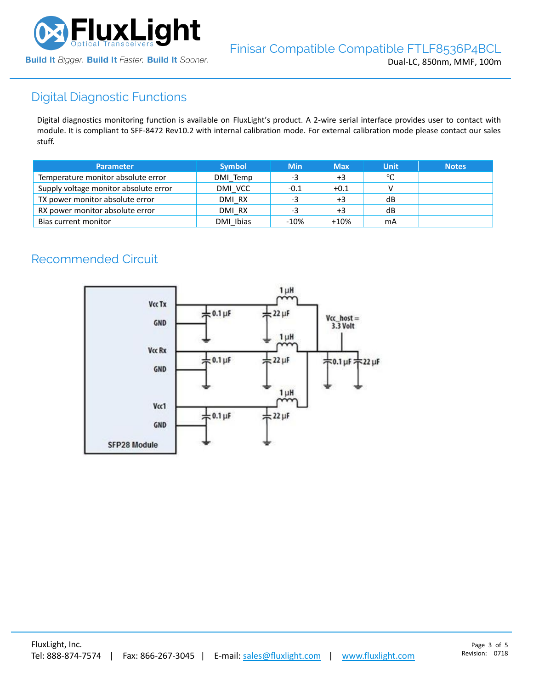

# Digital Diagnostic Functions

Digital diagnostics monitoring function is available on FluxLight's product. A 2-wire serial interface provides user to contact with module. It is compliant to SFF-8472 Rev10.2 with internal calibration mode. For external calibration mode please contact our sales stuff.

| <b>Parameter</b>                      | <b>Symbol</b> | <b>Min</b> | <b>Max</b> | <b>Unit</b> | <b>Notes</b> |
|---------------------------------------|---------------|------------|------------|-------------|--------------|
| Temperature monitor absolute error    | DMI Temp      | -3         | +3         | °C          |              |
| Supply voltage monitor absolute error | DMI VCC       | -0.1       | $+0.1$     |             |              |
| TX power monitor absolute error       | DMI RX        | -3         | $+3$       | dB          |              |
| RX power monitor absolute error       | DMI RX        | -3         | $+3$       | dB          |              |
| Bias current monitor                  | DMI Ibias     | $-10%$     | $+10%$     | mA          |              |

# Recommended Circuit

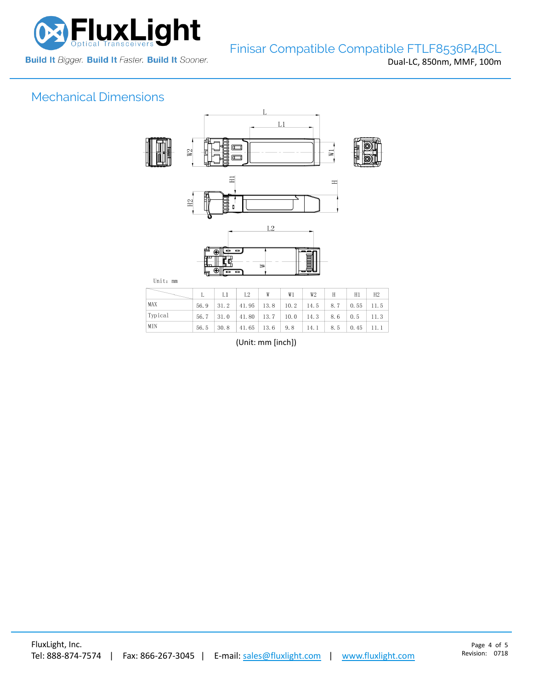

# Mechanical Dimensions



|            |  | $L1 \mid L2 \mid$                                              | W | W1 | W2 | H | H1 | H2 |
|------------|--|----------------------------------------------------------------|---|----|----|---|----|----|
| <b>MAX</b> |  | $56.9$   31.2   41.95   13.8   10.2   14.5   8.7   0.55   11.5 |   |    |    |   |    |    |
| Typical    |  | $56.7$   31.0   41.80   13.7   10.0   14.3   8.6   0.5   11.3  |   |    |    |   |    |    |
| MIN        |  | $56.5$ $30.8$ $41.65$ $13.6$ $9.8$ $14.1$ $8.5$ $0.45$ 11.1    |   |    |    |   |    |    |

(Unit: mm [inch])